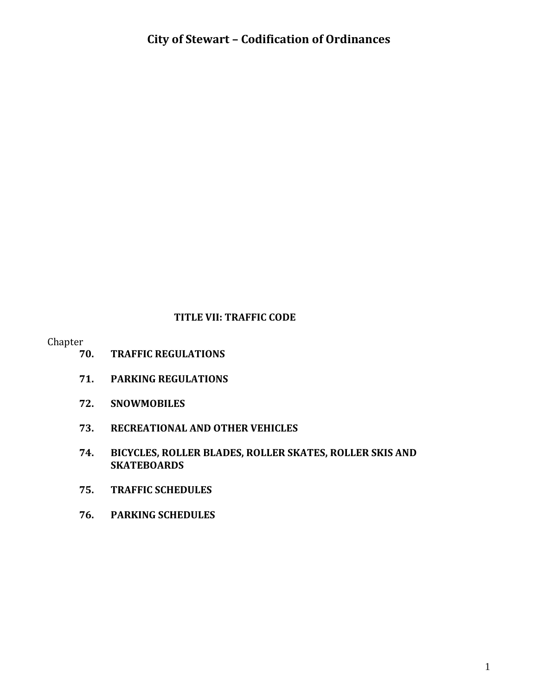#### **TITLE VII: TRAFFIC CODE**

Chapter

- **70. TRAFFIC REGULATIONS**
- **71. PARKING REGULATIONS**
- **72. SNOWMOBILES**
- **73. RECREATIONAL AND OTHER VEHICLES**
- **74. BICYCLES, ROLLER BLADES, ROLLER SKATES, ROLLER SKIS AND SKATEBOARDS**
- **75. TRAFFIC SCHEDULES**
- **76. PARKING SCHEDULES**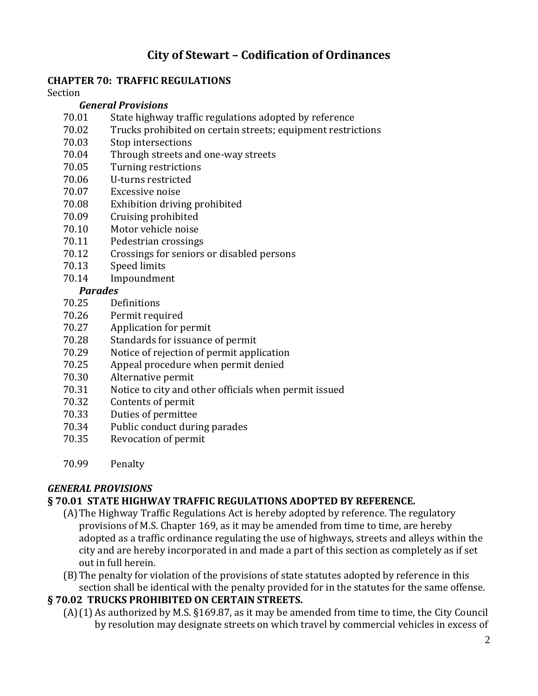#### **CHAPTER 70: TRAFFIC REGULATIONS**

Section

#### *General Provisions*

- 70.01 State highway traffic regulations adopted by reference
- 70.02 Trucks prohibited on certain streets; equipment restrictions
- 70.03 Stop intersections
- 70.04 Through streets and one-way streets
- 70.05 Turning restrictions
- 70.06 U-turns restricted
- 70.07 Excessive noise
- 70.08 Exhibition driving prohibited
- 70.09 Cruising prohibited
- 70.10 Motor vehicle noise
- 70.11 Pedestrian crossings
- 70.12 Crossings for seniors or disabled persons
- 70.13 Speed limits
- 70.14 Impoundment

#### *Parades*

- 70.25 Definitions
- 70.26 Permit required
- 70.27 Application for permit
- 70.28 Standards for issuance of permit
- 70.29 Notice of rejection of permit application
- 70.25 Appeal procedure when permit denied
- 70.30 Alternative permit
- 70.31 Notice to city and other officials when permit issued
- 70.32 Contents of permit
- 70.33 Duties of permittee
- 70.34 Public conduct during parades
- 70.35 Revocation of permit
- 70.99 Penalty

### *GENERAL PROVISIONS*

#### **§ 70.01 STATE HIGHWAY TRAFFIC REGULATIONS ADOPTED BY REFERENCE.**

- (A)The Highway Traffic Regulations Act is hereby adopted by reference. The regulatory provisions of M.S. Chapter 169, as it may be amended from time to time, are hereby adopted as a traffic ordinance regulating the use of highways, streets and alleys within the city and are hereby incorporated in and made a part of this section as completely as if set out in full herein.
- (B)The penalty for violation of the provisions of state statutes adopted by reference in this section shall be identical with the penalty provided for in the statutes for the same offense.

#### **§ 70.02 TRUCKS PROHIBITED ON CERTAIN STREETS.**

(A)(1) As authorized by M.S. §169.87, as it may be amended from time to time, the City Council by resolution may designate streets on which travel by commercial vehicles in excess of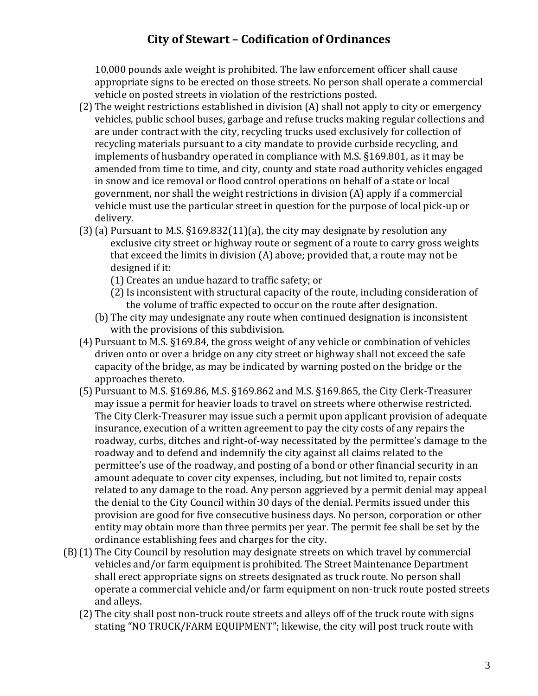10,000 pounds axle weight is prohibited. The law enforcement officer shall cause appropriate signs to be erected on those streets. No person shall operate a commercial vehicle on posted streets in violation of the restrictions posted.

- (2) The weight restrictions established in division (A) shall not apply to city or emergency vehicles, public school buses, garbage and refuse trucks making regular collections and are under contract with the city, recycling trucks used exclusively for collection of recycling materials pursuant to a city mandate to provide curbside recycling, and implements of husbandry operated in compliance with M.S. §169.801, as it may be amended from time to time, and city, county and state road authority vehicles engaged in snow and ice removal or flood control operations on behalf of a state or local government, nor shall the weight restrictions in division (A) apply if a commercial vehicle must use the particular street in question for the purpose of local pick-up or delivery.
- (3) (a) Pursuant to M.S.  $\S169.832(11)(a)$ , the city may designate by resolution any exclusive city street or highway route or segment of a route to carry gross weights that exceed the limits in division (A) above; provided that, a route may not be designed if it:
	- (1) Creates an undue hazard to traffic safety; or
	- (2)Is inconsistent with structural capacity of the route, including consideration of the volume of traffic expected to occur on the route after designation.
	- (b) The city may undesignate any route when continued designation is inconsistent with the provisions of this subdivision.
- (4) Pursuant to M.S. §169.84, the gross weight of any vehicle or combination of vehicles driven onto or over a bridge on any city street or highway shall not exceed the safe capacity of the bridge, as may be indicated by warning posted on the bridge or the approaches thereto.
- (5) Pursuant to M.S. §169.86, M.S. §169.862 and M.S. §169.865, the City Clerk-Treasurer may issue a permit for heavier loads to travel on streets where otherwise restricted. The City Clerk-Treasurer may issue such a permit upon applicant provision of adequate insurance, execution of a written agreement to pay the city costs of any repairs the roadway, curbs, ditches and right-of-way necessitated by the permittee's damage to the roadway and to defend and indemnify the city against all claims related to the permittee's use of the roadway, and posting of a bond or other financial security in an amount adequate to cover city expenses, including, but not limited to, repair costs related to any damage to the road. Any person aggrieved by a permit denial may appeal the denial to the City Council within 30 days of the denial. Permits issued under this provision are good for five consecutive business days. No person, corporation or other entity may obtain more than three permits per year. The permit fee shall be set by the ordinance establishing fees and charges for the city.
- (B)(1) The City Council by resolution may designate streets on which travel by commercial vehicles and/or farm equipment is prohibited. The Street Maintenance Department shall erect appropriate signs on streets designated as truck route. No person shall operate a commercial vehicle and/or farm equipment on non-truck route posted streets and alleys.
	- (2) The city shall post non-truck route streets and alleys off of the truck route with signs stating "NO TRUCK/FARM EQUIPMENT"; likewise, the city will post truck route with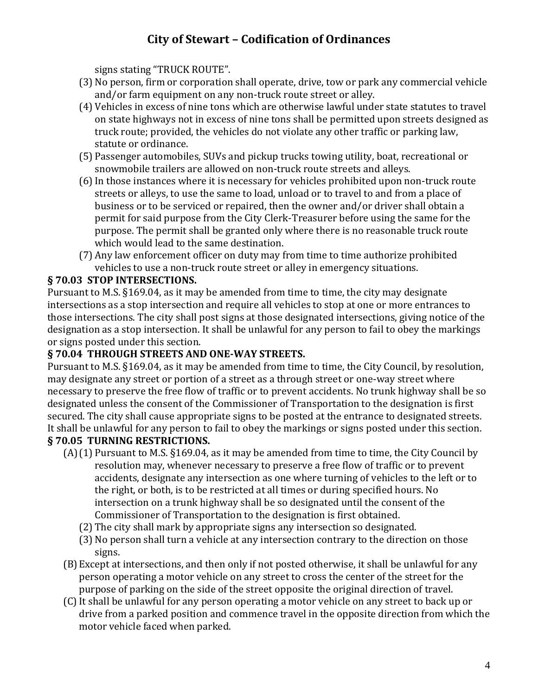signs stating "TRUCK ROUTE".

- (3) No person, firm or corporation shall operate, drive, tow or park any commercial vehicle and/or farm equipment on any non-truck route street or alley.
- (4) Vehicles in excess of nine tons which are otherwise lawful under state statutes to travel on state highways not in excess of nine tons shall be permitted upon streets designed as truck route; provided, the vehicles do not violate any other traffic or parking law, statute or ordinance.
- (5) Passenger automobiles, SUVs and pickup trucks towing utility, boat, recreational or snowmobile trailers are allowed on non-truck route streets and alleys.
- (6)In those instances where it is necessary for vehicles prohibited upon non-truck route streets or alleys, to use the same to load, unload or to travel to and from a place of business or to be serviced or repaired, then the owner and/or driver shall obtain a permit for said purpose from the City Clerk-Treasurer before using the same for the purpose. The permit shall be granted only where there is no reasonable truck route which would lead to the same destination.
- (7) Any law enforcement officer on duty may from time to time authorize prohibited vehicles to use a non-truck route street or alley in emergency situations.

## **§ 70.03 STOP INTERSECTIONS.**

Pursuant to M.S. §169.04, as it may be amended from time to time, the city may designate intersections as a stop intersection and require all vehicles to stop at one or more entrances to those intersections. The city shall post signs at those designated intersections, giving notice of the designation as a stop intersection. It shall be unlawful for any person to fail to obey the markings or signs posted under this section.

### **§ 70.04 THROUGH STREETS AND ONE-WAY STREETS.**

Pursuant to M.S. §169.04, as it may be amended from time to time, the City Council, by resolution, may designate any street or portion of a street as a through street or one-way street where necessary to preserve the free flow of traffic or to prevent accidents. No trunk highway shall be so designated unless the consent of the Commissioner of Transportation to the designation is first secured. The city shall cause appropriate signs to be posted at the entrance to designated streets. It shall be unlawful for any person to fail to obey the markings or signs posted under this section.

## **§ 70.05 TURNING RESTRICTIONS.**

- (A)(1) Pursuant to M.S. §169.04, as it may be amended from time to time, the City Council by resolution may, whenever necessary to preserve a free flow of traffic or to prevent accidents, designate any intersection as one where turning of vehicles to the left or to the right, or both, is to be restricted at all times or during specified hours. No intersection on a trunk highway shall be so designated until the consent of the Commissioner of Transportation to the designation is first obtained.
	- (2) The city shall mark by appropriate signs any intersection so designated.
	- (3) No person shall turn a vehicle at any intersection contrary to the direction on those signs.
- (B)Except at intersections, and then only if not posted otherwise, it shall be unlawful for any person operating a motor vehicle on any street to cross the center of the street for the purpose of parking on the side of the street opposite the original direction of travel.
- (C)It shall be unlawful for any person operating a motor vehicle on any street to back up or drive from a parked position and commence travel in the opposite direction from which the motor vehicle faced when parked.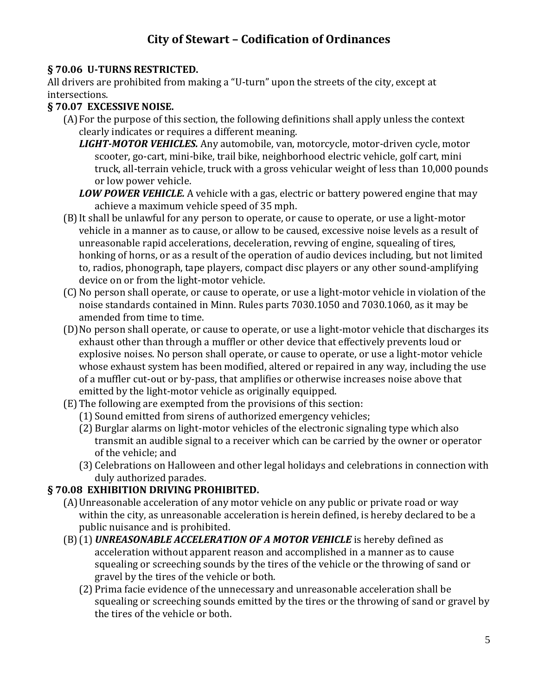## **§ 70.06 U-TURNS RESTRICTED.**

All drivers are prohibited from making a "U-turn" upon the streets of the city, except at intersections.

## **§ 70.07 EXCESSIVE NOISE.**

- (A)For the purpose of this section, the following definitions shall apply unless the context clearly indicates or requires a different meaning.
	- *LIGHT-MOTOR VEHICLES.* Any automobile, van, motorcycle, motor-driven cycle, motor scooter, go-cart, mini-bike, trail bike, neighborhood electric vehicle, golf cart, mini truck, all-terrain vehicle, truck with a gross vehicular weight of less than 10,000 pounds or low power vehicle.
	- *LOW POWER VEHICLE.* A vehicle with a gas, electric or battery powered engine that may achieve a maximum vehicle speed of 35 mph.
- (B)It shall be unlawful for any person to operate, or cause to operate, or use a light-motor vehicle in a manner as to cause, or allow to be caused, excessive noise levels as a result of unreasonable rapid accelerations, deceleration, revving of engine, squealing of tires, honking of horns, or as a result of the operation of audio devices including, but not limited to, radios, phonograph, tape players, compact disc players or any other sound-amplifying device on or from the light-motor vehicle.
- (C) No person shall operate, or cause to operate, or use a light-motor vehicle in violation of the noise standards contained in Minn. Rules parts 7030.1050 and 7030.1060, as it may be amended from time to time.
- (D)No person shall operate, or cause to operate, or use a light-motor vehicle that discharges its exhaust other than through a muffler or other device that effectively prevents loud or explosive noises. No person shall operate, or cause to operate, or use a light-motor vehicle whose exhaust system has been modified, altered or repaired in any way, including the use of a muffler cut-out or by-pass, that amplifies or otherwise increases noise above that emitted by the light-motor vehicle as originally equipped.
- (E) The following are exempted from the provisions of this section:
	- (1) Sound emitted from sirens of authorized emergency vehicles;
	- (2) Burglar alarms on light-motor vehicles of the electronic signaling type which also transmit an audible signal to a receiver which can be carried by the owner or operator of the vehicle; and
	- (3) Celebrations on Halloween and other legal holidays and celebrations in connection with duly authorized parades.

# **§ 70.08 EXHIBITION DRIVING PROHIBITED.**

- (A)Unreasonable acceleration of any motor vehicle on any public or private road or way within the city, as unreasonable acceleration is herein defined, is hereby declared to be a public nuisance and is prohibited.
- (B)(1) *UNREASONABLE ACCELERATION OF A MOTOR VEHICLE* is hereby defined as acceleration without apparent reason and accomplished in a manner as to cause squealing or screeching sounds by the tires of the vehicle or the throwing of sand or gravel by the tires of the vehicle or both.
	- (2) Prima facie evidence of the unnecessary and unreasonable acceleration shall be squealing or screeching sounds emitted by the tires or the throwing of sand or gravel by the tires of the vehicle or both.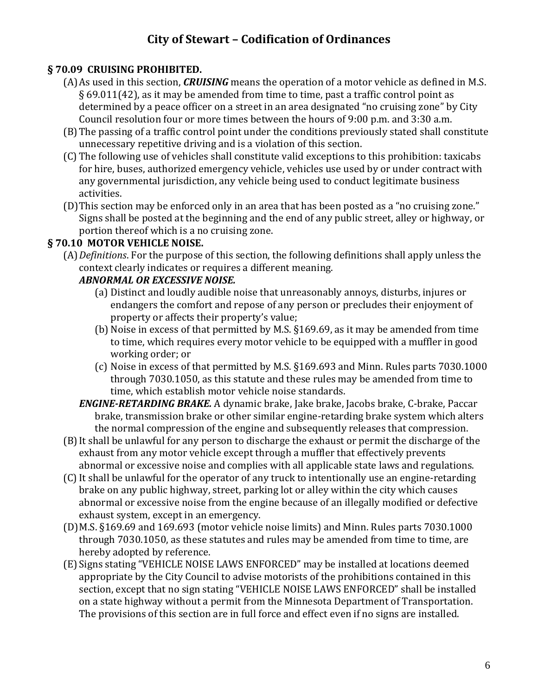## **§ 70.09 CRUISING PROHIBITED.**

- (A)As used in this section, *CRUISING* means the operation of a motor vehicle as defined in M.S. § 69.011(42), as it may be amended from time to time, past a traffic control point as determined by a peace officer on a street in an area designated "no cruising zone" by City Council resolution four or more times between the hours of 9:00 p.m. and 3:30 a.m.
- (B)The passing of a traffic control point under the conditions previously stated shall constitute unnecessary repetitive driving and is a violation of this section.
- (C) The following use of vehicles shall constitute valid exceptions to this prohibition: taxicabs for hire, buses, authorized emergency vehicle, vehicles use used by or under contract with any governmental jurisdiction, any vehicle being used to conduct legitimate business activities.
- (D)This section may be enforced only in an area that has been posted as a "no cruising zone." Signs shall be posted at the beginning and the end of any public street, alley or highway, or portion thereof which is a no cruising zone.

## **§ 70.10 MOTOR VEHICLE NOISE.**

(A)*Definitions*. For the purpose of this section, the following definitions shall apply unless the context clearly indicates or requires a different meaning.

## *ABNORMAL OR EXCESSIVE NOISE.*

- (a) Distinct and loudly audible noise that unreasonably annoys, disturbs, injures or endangers the comfort and repose of any person or precludes their enjoyment of property or affects their property's value;
- (b) Noise in excess of that permitted by M.S. §169.69, as it may be amended from time to time, which requires every motor vehicle to be equipped with a muffler in good working order; or
- (c) Noise in excess of that permitted by M.S. §169.693 and Minn. Rules parts 7030.1000 through 7030.1050, as this statute and these rules may be amended from time to time, which establish motor vehicle noise standards.
- *ENGINE-RETARDING BRAKE.* A dynamic brake, Jake brake, Jacobs brake, C-brake, Paccar brake, transmission brake or other similar engine-retarding brake system which alters the normal compression of the engine and subsequently releases that compression.
- (B)It shall be unlawful for any person to discharge the exhaust or permit the discharge of the exhaust from any motor vehicle except through a muffler that effectively prevents abnormal or excessive noise and complies with all applicable state laws and regulations.
- (C)It shall be unlawful for the operator of any truck to intentionally use an engine-retarding brake on any public highway, street, parking lot or alley within the city which causes abnormal or excessive noise from the engine because of an illegally modified or defective exhaust system, except in an emergency.
- (D)M.S. §169.69 and 169.693 (motor vehicle noise limits) and Minn. Rules parts 7030.1000 through 7030.1050, as these statutes and rules may be amended from time to time, are hereby adopted by reference.
- (E)Signs stating "VEHICLE NOISE LAWS ENFORCED" may be installed at locations deemed appropriate by the City Council to advise motorists of the prohibitions contained in this section, except that no sign stating "VEHICLE NOISE LAWS ENFORCED" shall be installed on a state highway without a permit from the Minnesota Department of Transportation. The provisions of this section are in full force and effect even if no signs are installed.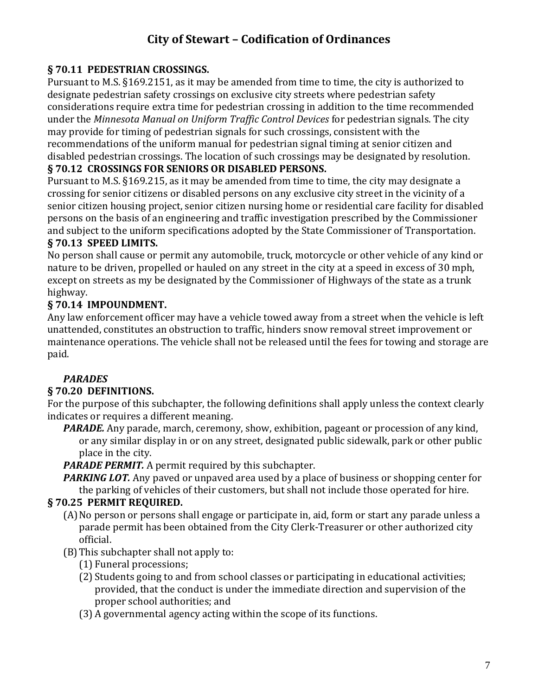## **§ 70.11 PEDESTRIAN CROSSINGS.**

Pursuant to M.S. §169.2151, as it may be amended from time to time, the city is authorized to designate pedestrian safety crossings on exclusive city streets where pedestrian safety considerations require extra time for pedestrian crossing in addition to the time recommended under the *Minnesota Manual on Uniform Traffic Control Devices* for pedestrian signals. The city may provide for timing of pedestrian signals for such crossings, consistent with the recommendations of the uniform manual for pedestrian signal timing at senior citizen and disabled pedestrian crossings. The location of such crossings may be designated by resolution.

#### **§ 70.12 CROSSINGS FOR SENIORS OR DISABLED PERSONS.**

Pursuant to M.S. §169.215, as it may be amended from time to time, the city may designate a crossing for senior citizens or disabled persons on any exclusive city street in the vicinity of a senior citizen housing project, senior citizen nursing home or residential care facility for disabled persons on the basis of an engineering and traffic investigation prescribed by the Commissioner and subject to the uniform specifications adopted by the State Commissioner of Transportation.

### **§ 70.13 SPEED LIMITS.**

No person shall cause or permit any automobile, truck, motorcycle or other vehicle of any kind or nature to be driven, propelled or hauled on any street in the city at a speed in excess of 30 mph, except on streets as my be designated by the Commissioner of Highways of the state as a trunk highway.

## **§ 70.14 IMPOUNDMENT.**

Any law enforcement officer may have a vehicle towed away from a street when the vehicle is left unattended, constitutes an obstruction to traffic, hinders snow removal street improvement or maintenance operations. The vehicle shall not be released until the fees for towing and storage are paid.

### *PARADES*

### **§ 70.20 DEFINITIONS.**

For the purpose of this subchapter, the following definitions shall apply unless the context clearly indicates or requires a different meaning.

*PARADE.* Any parade, march, ceremony, show, exhibition, pageant or procession of any kind, or any similar display in or on any street, designated public sidewalk, park or other public place in the city.

*PARADE PERMIT.* A permit required by this subchapter.

*PARKING LOT.* Any paved or unpaved area used by a place of business or shopping center for the parking of vehicles of their customers, but shall not include those operated for hire.

### **§ 70.25 PERMIT REQUIRED.**

- (A)No person or persons shall engage or participate in, aid, form or start any parade unless a parade permit has been obtained from the City Clerk-Treasurer or other authorized city official.
- (B)This subchapter shall not apply to:
	- (1) Funeral processions;
	- (2) Students going to and from school classes or participating in educational activities; provided, that the conduct is under the immediate direction and supervision of the proper school authorities; and
	- (3) A governmental agency acting within the scope of its functions.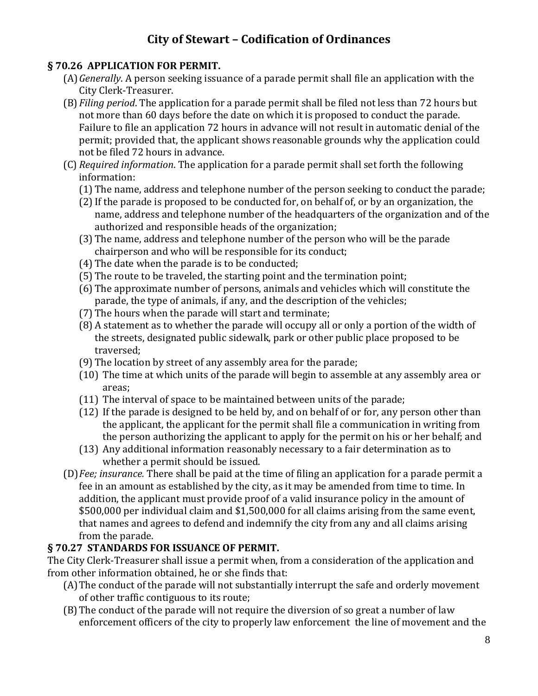### **§ 70.26 APPLICATION FOR PERMIT.**

- (A)*Generally*. A person seeking issuance of a parade permit shall file an application with the City Clerk-Treasurer.
- (B)*Filing period*. The application for a parade permit shall be filed not less than 72 hours but not more than 60 days before the date on which it is proposed to conduct the parade. Failure to file an application 72 hours in advance will not result in automatic denial of the permit; provided that, the applicant shows reasonable grounds why the application could not be filed 72 hours in advance.
- (C) *Required information*. The application for a parade permit shall set forth the following information:
	- (1) The name, address and telephone number of the person seeking to conduct the parade;
	- (2)If the parade is proposed to be conducted for, on behalf of, or by an organization, the name, address and telephone number of the headquarters of the organization and of the authorized and responsible heads of the organization;
	- (3) The name, address and telephone number of the person who will be the parade chairperson and who will be responsible for its conduct;
	- (4) The date when the parade is to be conducted;
	- (5) The route to be traveled, the starting point and the termination point;
	- (6) The approximate number of persons, animals and vehicles which will constitute the parade, the type of animals, if any, and the description of the vehicles;
	- (7) The hours when the parade will start and terminate;
	- (8) A statement as to whether the parade will occupy all or only a portion of the width of the streets, designated public sidewalk, park or other public place proposed to be traversed;
	- (9) The location by street of any assembly area for the parade;
	- (10) The time at which units of the parade will begin to assemble at any assembly area or areas;
	- (11) The interval of space to be maintained between units of the parade;
	- (12) If the parade is designed to be held by, and on behalf of or for, any person other than the applicant, the applicant for the permit shall file a communication in writing from the person authorizing the applicant to apply for the permit on his or her behalf; and
	- (13) Any additional information reasonably necessary to a fair determination as to whether a permit should be issued.
- (D)*Fee; insurance.* There shall be paid at the time of filing an application for a parade permit a fee in an amount as established by the city, as it may be amended from time to time. In addition, the applicant must provide proof of a valid insurance policy in the amount of \$500,000 per individual claim and \$1,500,000 for all claims arising from the same event, that names and agrees to defend and indemnify the city from any and all claims arising from the parade.

### **§ 70.27 STANDARDS FOR ISSUANCE OF PERMIT.**

The City Clerk-Treasurer shall issue a permit when, from a consideration of the application and from other information obtained, he or she finds that:

- (A)The conduct of the parade will not substantially interrupt the safe and orderly movement of other traffic contiguous to its route;
- (B)The conduct of the parade will not require the diversion of so great a number of law enforcement officers of the city to properly law enforcement the line of movement and the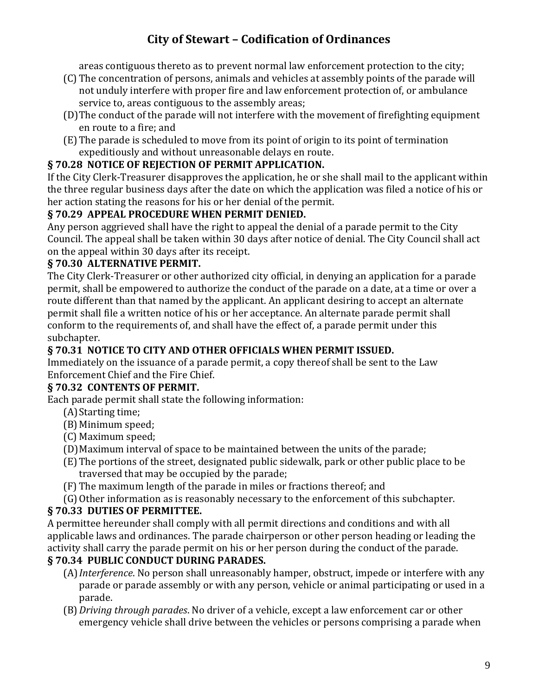areas contiguous thereto as to prevent normal law enforcement protection to the city;

- (C) The concentration of persons, animals and vehicles at assembly points of the parade will not unduly interfere with proper fire and law enforcement protection of, or ambulance service to, areas contiguous to the assembly areas;
- (D)The conduct of the parade will not interfere with the movement of firefighting equipment en route to a fire; and
- (E) The parade is scheduled to move from its point of origin to its point of termination expeditiously and without unreasonable delays en route.

## **§ 70.28 NOTICE OF REJECTION OF PERMIT APPLICATION.**

If the City Clerk-Treasurer disapproves the application, he or she shall mail to the applicant within the three regular business days after the date on which the application was filed a notice of his or her action stating the reasons for his or her denial of the permit.

## **§ 70.29 APPEAL PROCEDURE WHEN PERMIT DENIED.**

Any person aggrieved shall have the right to appeal the denial of a parade permit to the City Council. The appeal shall be taken within 30 days after notice of denial. The City Council shall act on the appeal within 30 days after its receipt.

## **§ 70.30 ALTERNATIVE PERMIT.**

The City Clerk-Treasurer or other authorized city official, in denying an application for a parade permit, shall be empowered to authorize the conduct of the parade on a date, at a time or over a route different than that named by the applicant. An applicant desiring to accept an alternate permit shall file a written notice of his or her acceptance. An alternate parade permit shall conform to the requirements of, and shall have the effect of, a parade permit under this subchapter.

## **§ 70.31 NOTICE TO CITY AND OTHER OFFICIALS WHEN PERMIT ISSUED.**

Immediately on the issuance of a parade permit, a copy thereof shall be sent to the Law Enforcement Chief and the Fire Chief.

### **§ 70.32 CONTENTS OF PERMIT.**

Each parade permit shall state the following information:

- (A) Starting time;
- (B)Minimum speed;
- (C) Maximum speed;
- (D)Maximum interval of space to be maintained between the units of the parade;
- (E) The portions of the street, designated public sidewalk, park or other public place to be traversed that may be occupied by the parade;
- (F) The maximum length of the parade in miles or fractions thereof; and
- (G)Other information as is reasonably necessary to the enforcement of this subchapter.

## **§ 70.33 DUTIES OF PERMITTEE.**

A permittee hereunder shall comply with all permit directions and conditions and with all applicable laws and ordinances. The parade chairperson or other person heading or leading the activity shall carry the parade permit on his or her person during the conduct of the parade.

## **§ 70.34 PUBLIC CONDUCT DURING PARADES.**

- (A)*Interference*. No person shall unreasonably hamper, obstruct, impede or interfere with any parade or parade assembly or with any person, vehicle or animal participating or used in a parade.
- (B)*Driving through parades*. No driver of a vehicle, except a law enforcement car or other emergency vehicle shall drive between the vehicles or persons comprising a parade when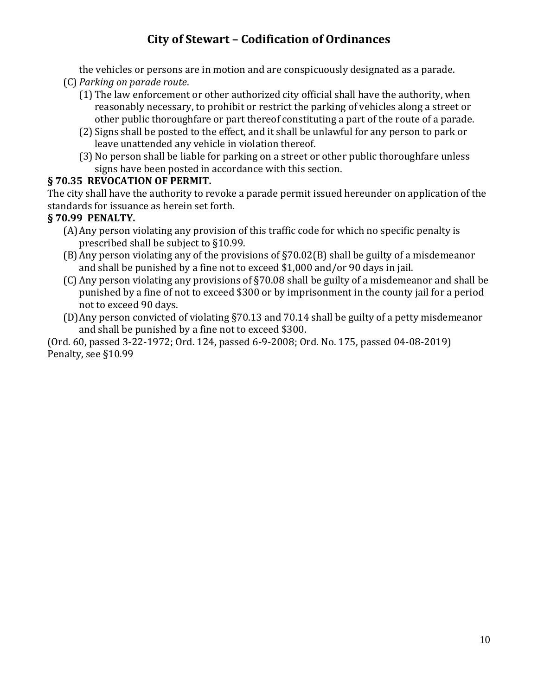the vehicles or persons are in motion and are conspicuously designated as a parade. (C) *Parking on parade route*.

- (1) The law enforcement or other authorized city official shall have the authority, when reasonably necessary, to prohibit or restrict the parking of vehicles along a street or other public thoroughfare or part thereof constituting a part of the route of a parade.
- (2) Signs shall be posted to the effect, and it shall be unlawful for any person to park or leave unattended any vehicle in violation thereof.
- (3) No person shall be liable for parking on a street or other public thoroughfare unless signs have been posted in accordance with this section.

## **§ 70.35 REVOCATION OF PERMIT.**

The city shall have the authority to revoke a parade permit issued hereunder on application of the standards for issuance as herein set forth.

## **§ 70.99 PENALTY.**

- (A)Any person violating any provision of this traffic code for which no specific penalty is prescribed shall be subject to §10.99.
- (B)Any person violating any of the provisions of §70.02(B) shall be guilty of a misdemeanor and shall be punished by a fine not to exceed \$1,000 and/or 90 days in jail.
- (C) Any person violating any provisions of §70.08 shall be guilty of a misdemeanor and shall be punished by a fine of not to exceed \$300 or by imprisonment in the county jail for a period not to exceed 90 days.
- (D)Any person convicted of violating §70.13 and 70.14 shall be guilty of a petty misdemeanor and shall be punished by a fine not to exceed \$300.

(Ord. 60, passed 3-22-1972; Ord. 124, passed 6-9-2008; Ord. No. 175, passed 04-08-2019) Penalty, see §10.99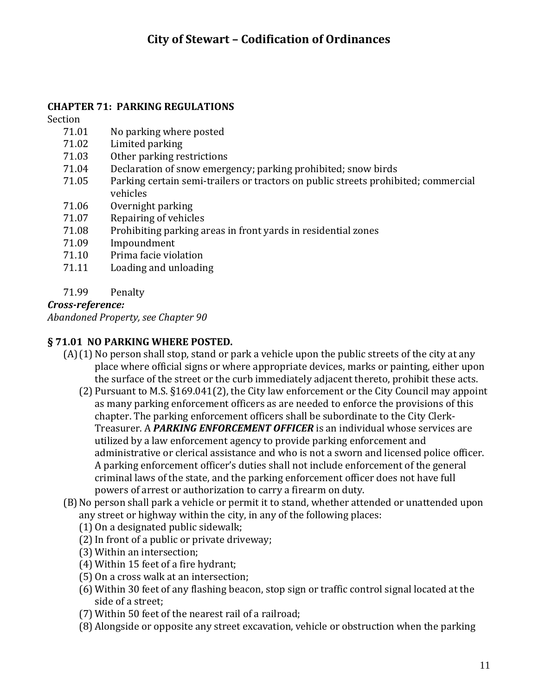### **CHAPTER 71: PARKING REGULATIONS**

Section

- 71.01 No parking where posted
- 71.02 Limited parking
- 71.03 Other parking restrictions
- 71.04 Declaration of snow emergency; parking prohibited; snow birds
- 71.05 Parking certain semi-trailers or tractors on public streets prohibited; commercial vehicles
- 71.06 Overnight parking
- 71.07 Repairing of vehicles
- 71.08 Prohibiting parking areas in front yards in residential zones
- 71.09 Impoundment
- 71.10 Prima facie violation
- 71.11 Loading and unloading

#### 71.99 Penalty

*Cross-reference:*

*Abandoned Property, see Chapter 90*

### **§ 71.01 NO PARKING WHERE POSTED.**

- $(A)(1)$  No person shall stop, stand or park a vehicle upon the public streets of the city at any place where official signs or where appropriate devices, marks or painting, either upon the surface of the street or the curb immediately adjacent thereto, prohibit these acts.
	- (2) Pursuant to M.S. §169.041(2), the City law enforcement or the City Council may appoint as many parking enforcement officers as are needed to enforce the provisions of this chapter. The parking enforcement officers shall be subordinate to the City Clerk-Treasurer. A *PARKING ENFORCEMENT OFFICER* is an individual whose services are utilized by a law enforcement agency to provide parking enforcement and administrative or clerical assistance and who is not a sworn and licensed police officer. A parking enforcement officer's duties shall not include enforcement of the general criminal laws of the state, and the parking enforcement officer does not have full powers of arrest or authorization to carry a firearm on duty.
- (B)No person shall park a vehicle or permit it to stand, whether attended or unattended upon any street or highway within the city, in any of the following places:
	- (1) On a designated public sidewalk;
	- (2)In front of a public or private driveway;
	- (3) Within an intersection;
	- (4) Within 15 feet of a fire hydrant;
	- (5) On a cross walk at an intersection;
	- (6) Within 30 feet of any flashing beacon, stop sign or traffic control signal located at the side of a street;
	- (7) Within 50 feet of the nearest rail of a railroad;
	- (8) Alongside or opposite any street excavation, vehicle or obstruction when the parking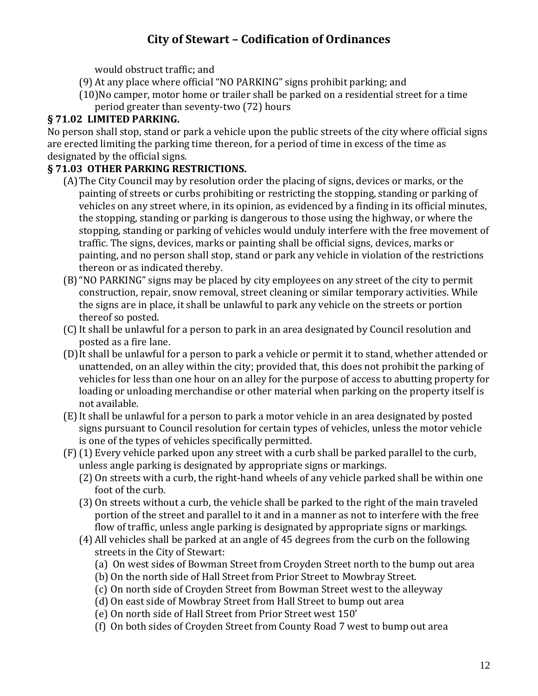would obstruct traffic; and

- (9) At any place where official "NO PARKING" signs prohibit parking; and
- (10)No camper, motor home or trailer shall be parked on a residential street for a time period greater than seventy-two (72) hours

## **§ 71.02 LIMITED PARKING.**

No person shall stop, stand or park a vehicle upon the public streets of the city where official signs are erected limiting the parking time thereon, for a period of time in excess of the time as designated by the official signs.

## **§ 71.03 OTHER PARKING RESTRICTIONS.**

- (A)The City Council may by resolution order the placing of signs, devices or marks, or the painting of streets or curbs prohibiting or restricting the stopping, standing or parking of vehicles on any street where, in its opinion, as evidenced by a finding in its official minutes, the stopping, standing or parking is dangerous to those using the highway, or where the stopping, standing or parking of vehicles would unduly interfere with the free movement of traffic. The signs, devices, marks or painting shall be official signs, devices, marks or painting, and no person shall stop, stand or park any vehicle in violation of the restrictions thereon or as indicated thereby.
- (B)"NO PARKING" signs may be placed by city employees on any street of the city to permit construction, repair, snow removal, street cleaning or similar temporary activities. While the signs are in place, it shall be unlawful to park any vehicle on the streets or portion thereof so posted.
- (C)It shall be unlawful for a person to park in an area designated by Council resolution and posted as a fire lane.
- (D)It shall be unlawful for a person to park a vehicle or permit it to stand, whether attended or unattended, on an alley within the city; provided that, this does not prohibit the parking of vehicles for less than one hour on an alley for the purpose of access to abutting property for loading or unloading merchandise or other material when parking on the property itself is not available.
- (E)It shall be unlawful for a person to park a motor vehicle in an area designated by posted signs pursuant to Council resolution for certain types of vehicles, unless the motor vehicle is one of the types of vehicles specifically permitted.
- (F) (1) Every vehicle parked upon any street with a curb shall be parked parallel to the curb, unless angle parking is designated by appropriate signs or markings.
	- (2) On streets with a curb, the right-hand wheels of any vehicle parked shall be within one foot of the curb.
	- (3) On streets without a curb, the vehicle shall be parked to the right of the main traveled portion of the street and parallel to it and in a manner as not to interfere with the free flow of traffic, unless angle parking is designated by appropriate signs or markings.
	- (4) All vehicles shall be parked at an angle of 45 degrees from the curb on the following streets in the City of Stewart:
		- (a) On west sides of Bowman Street from Croyden Street north to the bump out area
		- (b) On the north side of Hall Street from Prior Street to Mowbray Street.
		- (c) On north side of Croyden Street from Bowman Street west to the alleyway
		- (d) On east side of Mowbray Street from Hall Street to bump out area
		- (e) On north side of Hall Street from Prior Street west 150'
		- (f) On both sides of Croyden Street from County Road 7 west to bump out area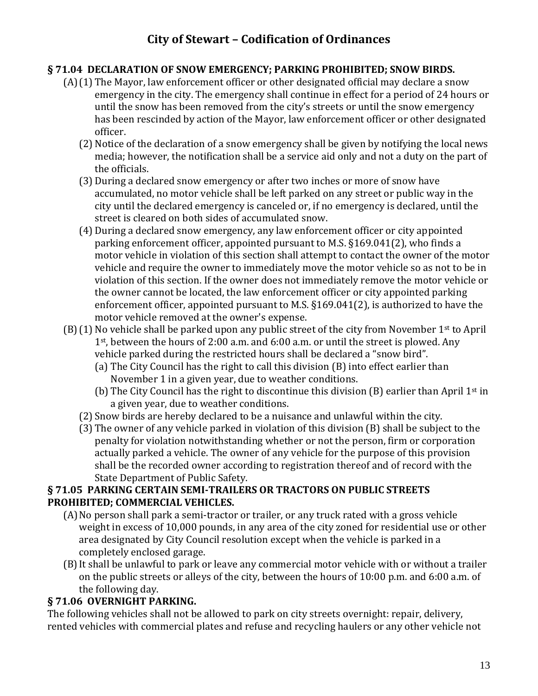### **§ 71.04 DECLARATION OF SNOW EMERGENCY; PARKING PROHIBITED; SNOW BIRDS.**

- (A)(1) The Mayor, law enforcement officer or other designated official may declare a snow emergency in the city. The emergency shall continue in effect for a period of 24 hours or until the snow has been removed from the city's streets or until the snow emergency has been rescinded by action of the Mayor, law enforcement officer or other designated officer.
	- (2) Notice of the declaration of a snow emergency shall be given by notifying the local news media; however, the notification shall be a service aid only and not a duty on the part of the officials.
	- (3) During a declared snow emergency or after two inches or more of snow have accumulated, no motor vehicle shall be left parked on any street or public way in the city until the declared emergency is canceled or, if no emergency is declared, until the street is cleared on both sides of accumulated snow.
	- (4) During a declared snow emergency, any law enforcement officer or city appointed parking enforcement officer, appointed pursuant to M.S. §169.041(2), who finds a motor vehicle in violation of this section shall attempt to contact the owner of the motor vehicle and require the owner to immediately move the motor vehicle so as not to be in violation of this section. If the owner does not immediately remove the motor vehicle or the owner cannot be located, the law enforcement officer or city appointed parking enforcement officer, appointed pursuant to M.S. §169.041(2), is authorized to have the motor vehicle removed at the owner's expense.
- $(B)(1)$  No vehicle shall be parked upon any public street of the city from November 1<sup>st</sup> to April 1st, between the hours of 2:00 a.m. and 6:00 a.m. or until the street is plowed. Any vehicle parked during the restricted hours shall be declared a "snow bird".
	- (a) The City Council has the right to call this division (B) into effect earlier than November 1 in a given year, due to weather conditions.
	- (b) The City Council has the right to discontinue this division  $(B)$  earlier than April 1<sup>st</sup> in a given year, due to weather conditions.
	- (2) Snow birds are hereby declared to be a nuisance and unlawful within the city.
	- (3) The owner of any vehicle parked in violation of this division (B) shall be subject to the penalty for violation notwithstanding whether or not the person, firm or corporation actually parked a vehicle. The owner of any vehicle for the purpose of this provision shall be the recorded owner according to registration thereof and of record with the State Department of Public Safety.

#### **§ 71.05 PARKING CERTAIN SEMI-TRAILERS OR TRACTORS ON PUBLIC STREETS PROHIBITED; COMMERCIAL VEHICLES.**

- (A)No person shall park a semi-tractor or trailer, or any truck rated with a gross vehicle weight in excess of 10,000 pounds, in any area of the city zoned for residential use or other area designated by City Council resolution except when the vehicle is parked in a completely enclosed garage.
- (B)It shall be unlawful to park or leave any commercial motor vehicle with or without a trailer on the public streets or alleys of the city, between the hours of 10:00 p.m. and 6:00 a.m. of the following day.

### **§ 71.06 OVERNIGHT PARKING.**

The following vehicles shall not be allowed to park on city streets overnight: repair, delivery, rented vehicles with commercial plates and refuse and recycling haulers or any other vehicle not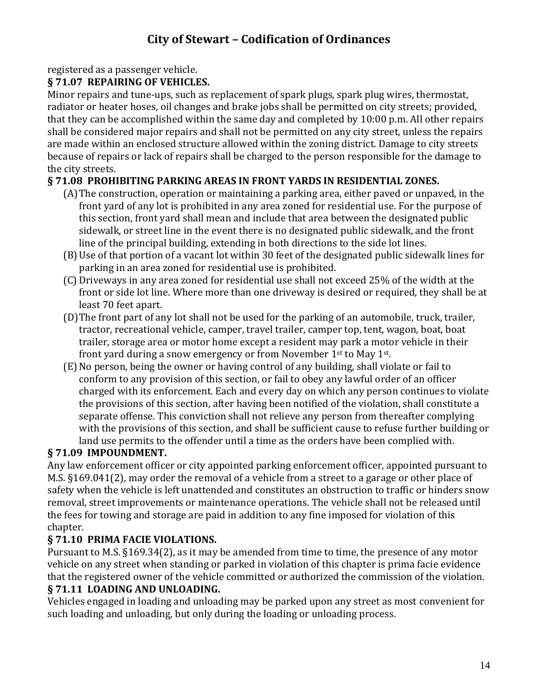# registered as a passenger vehicle.

# **§ 71.07 REPAIRING OF VEHICLES.**

Minor repairs and tune-ups, such as replacement of spark plugs, spark plug wires, thermostat, radiator or heater hoses, oil changes and brake jobs shall be permitted on city streets; provided, that they can be accomplished within the same day and completed by 10:00 p.m. All other repairs shall be considered major repairs and shall not be permitted on any city street, unless the repairs are made within an enclosed structure allowed within the zoning district. Damage to city streets because of repairs or lack of repairs shall be charged to the person responsible for the damage to the city streets.

# **§ 71.08 PROHIBITING PARKING AREAS IN FRONT YARDS IN RESIDENTIAL ZONES.**

- (A)The construction, operation or maintaining a parking area, either paved or unpaved, in the front yard of any lot is prohibited in any area zoned for residential use. For the purpose of this section, front yard shall mean and include that area between the designated public sidewalk, or street line in the event there is no designated public sidewalk, and the front line of the principal building, extending in both directions to the side lot lines.
- (B)Use of that portion of a vacant lot within 30 feet of the designated public sidewalk lines for parking in an area zoned for residential use is prohibited.
- (C) Driveways in any area zoned for residential use shall not exceed 25% of the width at the front or side lot line. Where more than one driveway is desired or required, they shall be at least 70 feet apart.
- (D)The front part of any lot shall not be used for the parking of an automobile, truck, trailer, tractor, recreational vehicle, camper, travel trailer, camper top, tent, wagon, boat, boat trailer, storage area or motor home except a resident may park a motor vehicle in their front yard during a snow emergency or from November 1st to May 1st.
- (E)No person, being the owner or having control of any building, shall violate or fail to conform to any provision of this section, or fail to obey any lawful order of an officer charged with its enforcement. Each and every day on which any person continues to violate the provisions of this section, after having been notified of the violation, shall constitute a separate offense. This conviction shall not relieve any person from thereafter complying with the provisions of this section, and shall be sufficient cause to refuse further building or land use permits to the offender until a time as the orders have been complied with.

## **§ 71.09 IMPOUNDMENT.**

Any law enforcement officer or city appointed parking enforcement officer, appointed pursuant to M.S. §169.041(2), may order the removal of a vehicle from a street to a garage or other place of safety when the vehicle is left unattended and constitutes an obstruction to traffic or hinders snow removal, street improvements or maintenance operations. The vehicle shall not be released until the fees for towing and storage are paid in addition to any fine imposed for violation of this chapter.

# **§ 71.10 PRIMA FACIE VIOLATIONS.**

Pursuant to M.S. §169.34(2), as it may be amended from time to time, the presence of any motor vehicle on any street when standing or parked in violation of this chapter is prima facie evidence that the registered owner of the vehicle committed or authorized the commission of the violation.

## **§ 71.11 LOADING AND UNLOADING.**

Vehicles engaged in loading and unloading may be parked upon any street as most convenient for such loading and unloading, but only during the loading or unloading process.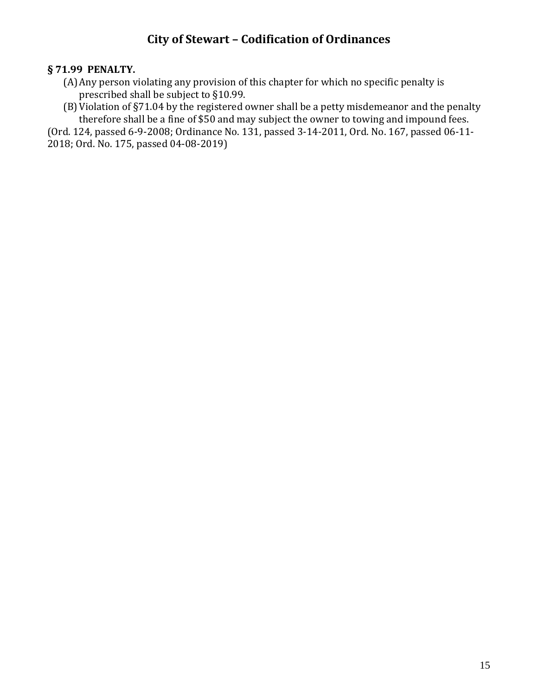## **§ 71.99 PENALTY.**

- (A)Any person violating any provision of this chapter for which no specific penalty is prescribed shall be subject to §10.99.
- (B)Violation of §71.04 by the registered owner shall be a petty misdemeanor and the penalty therefore shall be a fine of \$50 and may subject the owner to towing and impound fees.

(Ord. 124, passed 6-9-2008; Ordinance No. 131, passed 3-14-2011, Ord. No. 167, passed 06-11- 2018; Ord. No. 175, passed 04-08-2019)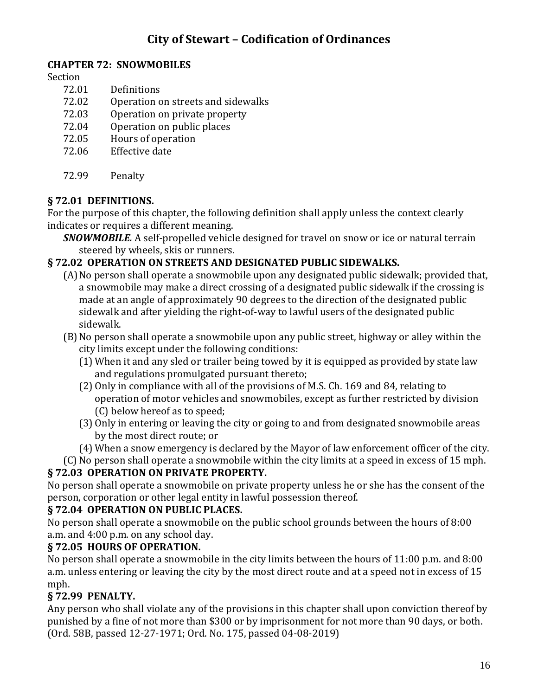## **CHAPTER 72: SNOWMOBILES**

Section

- 72.01 Definitions
- 72.02 Operation on streets and sidewalks
- 72.03 Operation on private property
- 72.04 Operation on public places
- 72.05 Hours of operation
- 72.06 Effective date
- 72.99 Penalty

## **§ 72.01 DEFINITIONS.**

For the purpose of this chapter, the following definition shall apply unless the context clearly indicates or requires a different meaning.

*SNOWMOBILE.* A self-propelled vehicle designed for travel on snow or ice or natural terrain steered by wheels, skis or runners.

## **§ 72.02 OPERATION ON STREETS AND DESIGNATED PUBLIC SIDEWALKS.**

- (A)No person shall operate a snowmobile upon any designated public sidewalk; provided that, a snowmobile may make a direct crossing of a designated public sidewalk if the crossing is made at an angle of approximately 90 degrees to the direction of the designated public sidewalk and after yielding the right-of-way to lawful users of the designated public sidewalk.
- (B)No person shall operate a snowmobile upon any public street, highway or alley within the city limits except under the following conditions:
	- (1) When it and any sled or trailer being towed by it is equipped as provided by state law and regulations promulgated pursuant thereto;
	- (2) Only in compliance with all of the provisions of M.S. Ch. 169 and 84, relating to operation of motor vehicles and snowmobiles, except as further restricted by division (C) below hereof as to speed;
	- (3) Only in entering or leaving the city or going to and from designated snowmobile areas by the most direct route; or
	- (4) When a snow emergency is declared by the Mayor of law enforcement officer of the city.
- (C) No person shall operate a snowmobile within the city limits at a speed in excess of 15 mph.

## **§ 72.03 OPERATION ON PRIVATE PROPERTY.**

No person shall operate a snowmobile on private property unless he or she has the consent of the person, corporation or other legal entity in lawful possession thereof.

## **§ 72.04 OPERATION ON PUBLIC PLACES.**

No person shall operate a snowmobile on the public school grounds between the hours of 8:00 a.m. and 4:00 p.m. on any school day.

## **§ 72.05 HOURS OF OPERATION.**

No person shall operate a snowmobile in the city limits between the hours of 11:00 p.m. and 8:00 a.m. unless entering or leaving the city by the most direct route and at a speed not in excess of 15 mph.

## **§ 72.99 PENALTY.**

Any person who shall violate any of the provisions in this chapter shall upon conviction thereof by punished by a fine of not more than \$300 or by imprisonment for not more than 90 days, or both. (Ord. 58B, passed 12-27-1971; Ord. No. 175, passed 04-08-2019)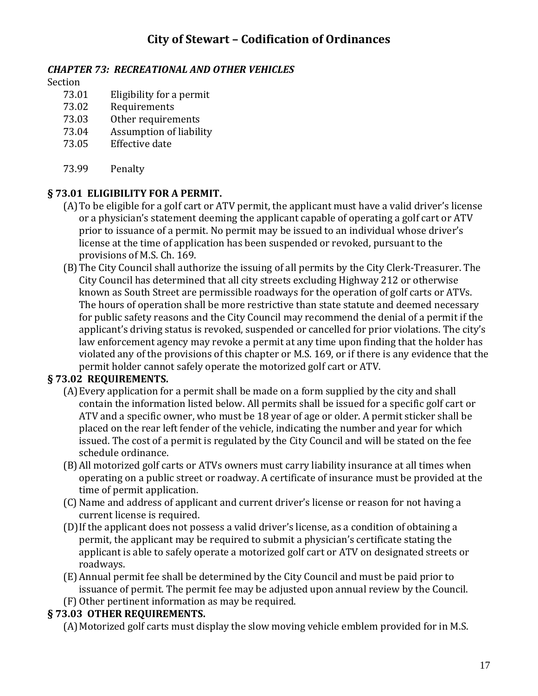### *CHAPTER 73: RECREATIONAL AND OTHER VEHICLES*

#### Section

- 73.01 Eligibility for a permit
- 73.02 Requirements
- 73.03 Other requirements
- 73.04 Assumption of liability
- 73.05 Effective date
- 73.99 Penalty

## **§ 73.01 ELIGIBILITY FOR A PERMIT.**

- (A)To be eligible for a golf cart or ATV permit, the applicant must have a valid driver's license or a physician's statement deeming the applicant capable of operating a golf cart or ATV prior to issuance of a permit. No permit may be issued to an individual whose driver's license at the time of application has been suspended or revoked, pursuant to the provisions of M.S. Ch. 169.
- (B)The City Council shall authorize the issuing of all permits by the City Clerk-Treasurer. The City Council has determined that all city streets excluding Highway 212 or otherwise known as South Street are permissible roadways for the operation of golf carts or ATVs. The hours of operation shall be more restrictive than state statute and deemed necessary for public safety reasons and the City Council may recommend the denial of a permit if the applicant's driving status is revoked, suspended or cancelled for prior violations. The city's law enforcement agency may revoke a permit at any time upon finding that the holder has violated any of the provisions of this chapter or M.S. 169, or if there is any evidence that the permit holder cannot safely operate the motorized golf cart or ATV.

## **§ 73.02 REQUIREMENTS.**

- (A)Every application for a permit shall be made on a form supplied by the city and shall contain the information listed below. All permits shall be issued for a specific golf cart or ATV and a specific owner, who must be 18 year of age or older. A permit sticker shall be placed on the rear left fender of the vehicle, indicating the number and year for which issued. The cost of a permit is regulated by the City Council and will be stated on the fee schedule ordinance.
- (B)All motorized golf carts or ATVs owners must carry liability insurance at all times when operating on a public street or roadway. A certificate of insurance must be provided at the time of permit application.
- (C) Name and address of applicant and current driver's license or reason for not having a current license is required.
- (D)If the applicant does not possess a valid driver's license, as a condition of obtaining a permit, the applicant may be required to submit a physician's certificate stating the applicant is able to safely operate a motorized golf cart or ATV on designated streets or roadways.
- (E) Annual permit fee shall be determined by the City Council and must be paid prior to issuance of permit. The permit fee may be adjusted upon annual review by the Council.
- (F) Other pertinent information as may be required.

## **§ 73.03 OTHER REQUIREMENTS.**

(A)Motorized golf carts must display the slow moving vehicle emblem provided for in M.S.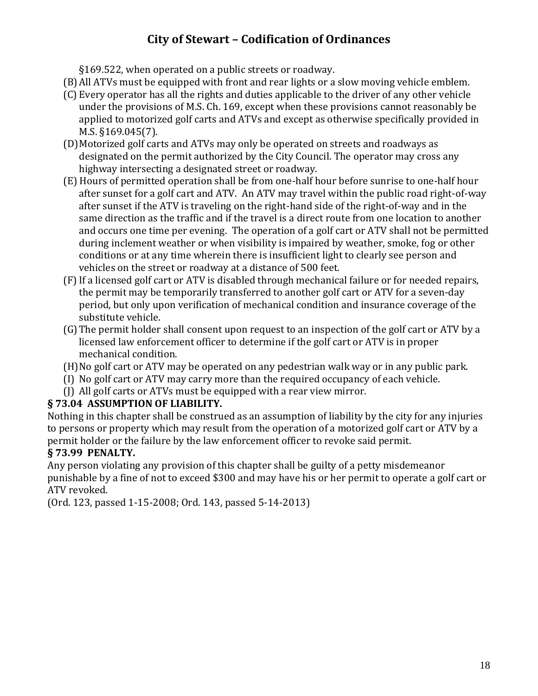§169.522, when operated on a public streets or roadway.

- (B)All ATVs must be equipped with front and rear lights or a slow moving vehicle emblem.
- (C) Every operator has all the rights and duties applicable to the driver of any other vehicle under the provisions of M.S. Ch. 169, except when these provisions cannot reasonably be applied to motorized golf carts and ATVs and except as otherwise specifically provided in M.S. §169.045(7).
- (D)Motorized golf carts and ATVs may only be operated on streets and roadways as designated on the permit authorized by the City Council. The operator may cross any highway intersecting a designated street or roadway.
- (E) Hours of permitted operation shall be from one-half hour before sunrise to one-half hour after sunset for a golf cart and ATV. An ATV may travel within the public road right-of-way after sunset if the ATV is traveling on the right-hand side of the right-of-way and in the same direction as the traffic and if the travel is a direct route from one location to another and occurs one time per evening. The operation of a golf cart or ATV shall not be permitted during inclement weather or when visibility is impaired by weather, smoke, fog or other conditions or at any time wherein there is insufficient light to clearly see person and vehicles on the street or roadway at a distance of 500 feet.
- (F) If a licensed golf cart or ATV is disabled through mechanical failure or for needed repairs, the permit may be temporarily transferred to another golf cart or ATV for a seven-day period, but only upon verification of mechanical condition and insurance coverage of the substitute vehicle.
- (G)The permit holder shall consent upon request to an inspection of the golf cart or ATV by a licensed law enforcement officer to determine if the golf cart or ATV is in proper mechanical condition.
- (H)No golf cart or ATV may be operated on any pedestrian walk way or in any public park.
- (I) No golf cart or ATV may carry more than the required occupancy of each vehicle.
- (J) All golf carts or ATVs must be equipped with a rear view mirror.

## **§ 73.04 ASSUMPTION OF LIABILITY.**

Nothing in this chapter shall be construed as an assumption of liability by the city for any injuries to persons or property which may result from the operation of a motorized golf cart or ATV by a permit holder or the failure by the law enforcement officer to revoke said permit.

## **§ 73.99 PENALTY.**

Any person violating any provision of this chapter shall be guilty of a petty misdemeanor punishable by a fine of not to exceed \$300 and may have his or her permit to operate a golf cart or ATV revoked.

(Ord. 123, passed 1-15-2008; Ord. 143, passed 5-14-2013)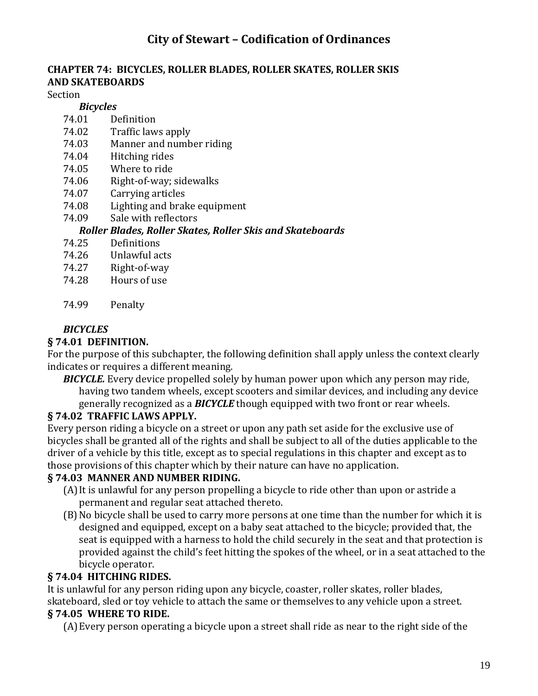## **CHAPTER 74: BICYCLES, ROLLER BLADES, ROLLER SKATES, ROLLER SKIS AND SKATEBOARDS**

Section

#### *Bicycles*

- 74.01 Definition
- 74.02 Traffic laws apply
- 74.03 Manner and number riding
- 74.04 Hitching rides
- 74.05 Where to ride
- 74.06 Right-of-way; sidewalks
- 74.07 Carrying articles
- 74.08 Lighting and brake equipment
- 74.09 Sale with reflectors

#### *Roller Blades, Roller Skates, Roller Skis and Skateboards*

- 74.25 Definitions
- 74.26 Unlawful acts
- 74.27 Right-of-way
- 74.28 Hours of use
- 74.99 Penalty

## *BICYCLES*

### **§ 74.01 DEFINITION.**

For the purpose of this subchapter, the following definition shall apply unless the context clearly indicates or requires a different meaning.

*BICYCLE.* Every device propelled solely by human power upon which any person may ride, having two tandem wheels, except scooters and similar devices, and including any device generally recognized as a *BICYCLE* though equipped with two front or rear wheels.

### **§ 74.02 TRAFFIC LAWS APPLY.**

Every person riding a bicycle on a street or upon any path set aside for the exclusive use of bicycles shall be granted all of the rights and shall be subject to all of the duties applicable to the driver of a vehicle by this title, except as to special regulations in this chapter and except as to those provisions of this chapter which by their nature can have no application.

### **§ 74.03 MANNER AND NUMBER RIDING.**

- (A)It is unlawful for any person propelling a bicycle to ride other than upon or astride a permanent and regular seat attached thereto.
- (B)No bicycle shall be used to carry more persons at one time than the number for which it is designed and equipped, except on a baby seat attached to the bicycle; provided that, the seat is equipped with a harness to hold the child securely in the seat and that protection is provided against the child's feet hitting the spokes of the wheel, or in a seat attached to the bicycle operator.

### **§ 74.04 HITCHING RIDES.**

It is unlawful for any person riding upon any bicycle, coaster, roller skates, roller blades, skateboard, sled or toy vehicle to attach the same or themselves to any vehicle upon a street.

### **§ 74.05 WHERE TO RIDE.**

(A)Every person operating a bicycle upon a street shall ride as near to the right side of the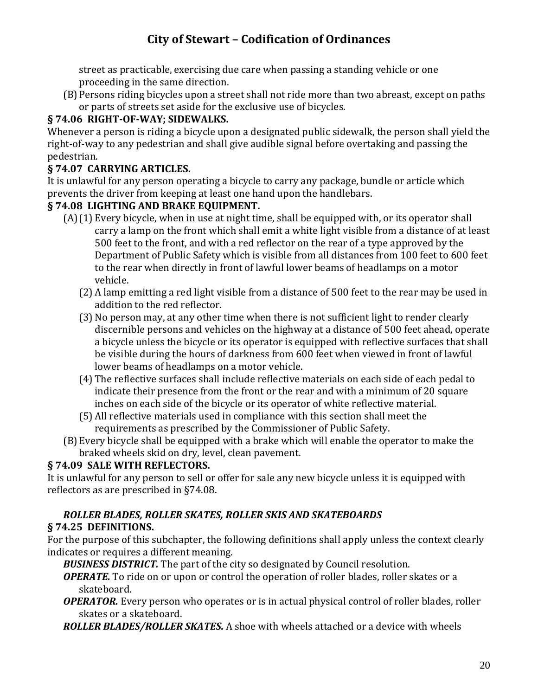street as practicable, exercising due care when passing a standing vehicle or one proceeding in the same direction.

(B)Persons riding bicycles upon a street shall not ride more than two abreast, except on paths or parts of streets set aside for the exclusive use of bicycles.

# **§ 74.06 RIGHT-OF-WAY; SIDEWALKS.**

Whenever a person is riding a bicycle upon a designated public sidewalk, the person shall yield the right-of-way to any pedestrian and shall give audible signal before overtaking and passing the pedestrian.

## **§ 74.07 CARRYING ARTICLES.**

It is unlawful for any person operating a bicycle to carry any package, bundle or article which prevents the driver from keeping at least one hand upon the handlebars.

## **§ 74.08 LIGHTING AND BRAKE EQUIPMENT.**

- (A)(1) Every bicycle, when in use at night time, shall be equipped with, or its operator shall carry a lamp on the front which shall emit a white light visible from a distance of at least 500 feet to the front, and with a red reflector on the rear of a type approved by the Department of Public Safety which is visible from all distances from 100 feet to 600 feet to the rear when directly in front of lawful lower beams of headlamps on a motor vehicle.
	- (2) A lamp emitting a red light visible from a distance of 500 feet to the rear may be used in addition to the red reflector.
	- (3) No person may, at any other time when there is not sufficient light to render clearly discernible persons and vehicles on the highway at a distance of 500 feet ahead, operate a bicycle unless the bicycle or its operator is equipped with reflective surfaces that shall be visible during the hours of darkness from 600 feet when viewed in front of lawful lower beams of headlamps on a motor vehicle.
	- (4) The reflective surfaces shall include reflective materials on each side of each pedal to indicate their presence from the front or the rear and with a minimum of 20 square inches on each side of the bicycle or its operator of white reflective material.
	- (5) All reflective materials used in compliance with this section shall meet the requirements as prescribed by the Commissioner of Public Safety.
- (B)Every bicycle shall be equipped with a brake which will enable the operator to make the braked wheels skid on dry, level, clean pavement.

## **§ 74.09 SALE WITH REFLECTORS.**

It is unlawful for any person to sell or offer for sale any new bicycle unless it is equipped with reflectors as are prescribed in §74.08.

### *ROLLER BLADES, ROLLER SKATES, ROLLER SKIS AND SKATEBOARDS* **§ 74.25 DEFINITIONS.**

For the purpose of this subchapter, the following definitions shall apply unless the context clearly indicates or requires a different meaning.

*BUSINESS DISTRICT.* The part of the city so designated by Council resolution.

*OPERATE.* To ride on or upon or control the operation of roller blades, roller skates or a skateboard.

*OPERATOR.* Every person who operates or is in actual physical control of roller blades, roller skates or a skateboard.

*ROLLER BLADES/ROLLER SKATES.* A shoe with wheels attached or a device with wheels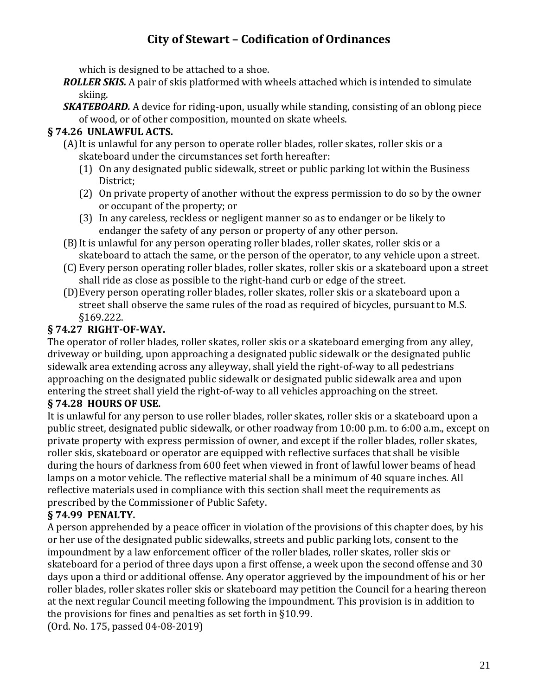which is designed to be attached to a shoe.

*ROLLER SKIS.* A pair of skis platformed with wheels attached which is intended to simulate skiing.

*SKATEBOARD.* A device for riding-upon, usually while standing, consisting of an oblong piece of wood, or of other composition, mounted on skate wheels.

## **§ 74.26 UNLAWFUL ACTS.**

- (A)It is unlawful for any person to operate roller blades, roller skates, roller skis or a skateboard under the circumstances set forth hereafter:
	- (1) On any designated public sidewalk, street or public parking lot within the Business District;
	- (2) On private property of another without the express permission to do so by the owner or occupant of the property; or
	- (3) In any careless, reckless or negligent manner so as to endanger or be likely to endanger the safety of any person or property of any other person.
- (B)It is unlawful for any person operating roller blades, roller skates, roller skis or a skateboard to attach the same, or the person of the operator, to any vehicle upon a street.
- (C) Every person operating roller blades, roller skates, roller skis or a skateboard upon a street shall ride as close as possible to the right-hand curb or edge of the street.
- (D)Every person operating roller blades, roller skates, roller skis or a skateboard upon a street shall observe the same rules of the road as required of bicycles, pursuant to M.S. §169.222.

## **§ 74.27 RIGHT-OF-WAY.**

The operator of roller blades, roller skates, roller skis or a skateboard emerging from any alley, driveway or building, upon approaching a designated public sidewalk or the designated public sidewalk area extending across any alleyway, shall yield the right-of-way to all pedestrians approaching on the designated public sidewalk or designated public sidewalk area and upon entering the street shall yield the right-of-way to all vehicles approaching on the street.

## **§ 74.28 HOURS OF USE.**

It is unlawful for any person to use roller blades, roller skates, roller skis or a skateboard upon a public street, designated public sidewalk, or other roadway from 10:00 p.m. to 6:00 a.m., except on private property with express permission of owner, and except if the roller blades, roller skates, roller skis, skateboard or operator are equipped with reflective surfaces that shall be visible during the hours of darkness from 600 feet when viewed in front of lawful lower beams of head lamps on a motor vehicle. The reflective material shall be a minimum of 40 square inches. All reflective materials used in compliance with this section shall meet the requirements as prescribed by the Commissioner of Public Safety.

## **§ 74.99 PENALTY.**

A person apprehended by a peace officer in violation of the provisions of this chapter does, by his or her use of the designated public sidewalks, streets and public parking lots, consent to the impoundment by a law enforcement officer of the roller blades, roller skates, roller skis or skateboard for a period of three days upon a first offense, a week upon the second offense and 30 days upon a third or additional offense. Any operator aggrieved by the impoundment of his or her roller blades, roller skates roller skis or skateboard may petition the Council for a hearing thereon at the next regular Council meeting following the impoundment. This provision is in addition to the provisions for fines and penalties as set forth in §10.99. (Ord. No. 175, passed 04-08-2019)

21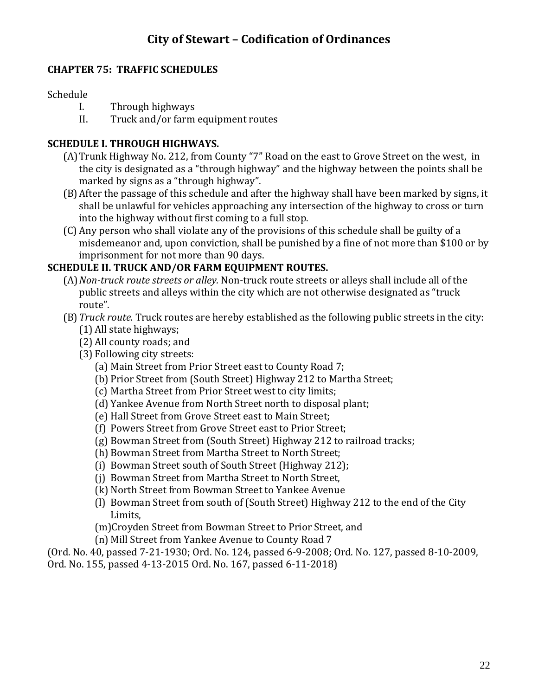## **CHAPTER 75: TRAFFIC SCHEDULES**

### Schedule

- I. Through highways
- II. Truck and/or farm equipment routes

### **SCHEDULE I. THROUGH HIGHWAYS.**

- (A)Trunk Highway No. 212, from County "7" Road on the east to Grove Street on the west, in the city is designated as a "through highway" and the highway between the points shall be marked by signs as a "through highway".
- (B)After the passage of this schedule and after the highway shall have been marked by signs, it shall be unlawful for vehicles approaching any intersection of the highway to cross or turn into the highway without first coming to a full stop.
- (C) Any person who shall violate any of the provisions of this schedule shall be guilty of a misdemeanor and, upon conviction, shall be punished by a fine of not more than \$100 or by imprisonment for not more than 90 days.

## **SCHEDULE II. TRUCK AND/OR FARM EQUIPMENT ROUTES.**

- (A)*Non-truck route streets or alley.* Non-truck route streets or alleys shall include all of the public streets and alleys within the city which are not otherwise designated as "truck route".
- (B)*Truck route.* Truck routes are hereby established as the following public streets in the city:
	- (1) All state highways;
	- (2) All county roads; and
	- (3) Following city streets:
		- (a) Main Street from Prior Street east to County Road 7;
		- (b) Prior Street from (South Street) Highway 212 to Martha Street;
		- (c) Martha Street from Prior Street west to city limits;
		- (d) Yankee Avenue from North Street north to disposal plant;
		- (e) Hall Street from Grove Street east to Main Street;
		- (f) Powers Street from Grove Street east to Prior Street;
		- (g) Bowman Street from (South Street) Highway 212 to railroad tracks;
		- (h) Bowman Street from Martha Street to North Street;
		- (i) Bowman Street south of South Street (Highway 212);
		- (j) Bowman Street from Martha Street to North Street,
		- (k) North Street from Bowman Street to Yankee Avenue
		- (l) Bowman Street from south of (South Street) Highway 212 to the end of the City Limits,
		- (m)Croyden Street from Bowman Street to Prior Street, and
		- (n) Mill Street from Yankee Avenue to County Road 7

(Ord. No. 40, passed 7-21-1930; Ord. No. 124, passed 6-9-2008; Ord. No. 127, passed 8-10-2009, Ord. No. 155, passed 4-13-2015 Ord. No. 167, passed 6-11-2018)